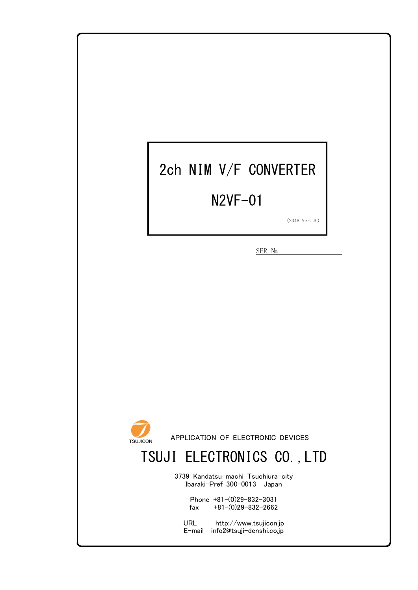# 2ch NIM V/F CONVERTER

### N2VF-01

(2348 Ver.3)

SER No.



APPLICATION OF ELECTRONIC DEVICES

## TSUJI ELECTRONICS CO.,LTD

3739 Kandatsu-machi Tsuchiura-city Ibaraki-Pref 300-0013 Japan

> Phone +81-(0)29-832-3031 fax  $+81-(0)29-832-2662$

URL http://www.tsujicon.jp E-mail info2@tsuji-denshi.co.jp